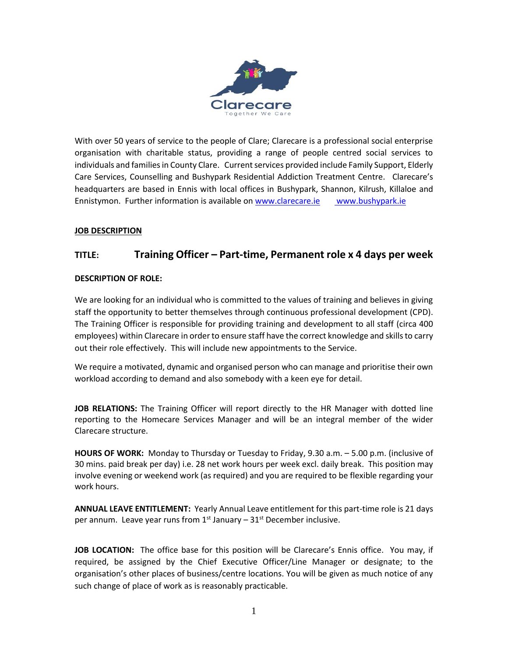

With over 50 years of service to the people of Clare; Clarecare is a professional social enterprise organisation with charitable status, providing a range of people centred social services to individuals and families in County Clare. Current services provided include Family Support, Elderly Care Services, Counselling and Bushypark Residential Addiction Treatment Centre. Clarecare's headquarters are based in Ennis with local offices in Bushypark, Shannon, Kilrush, Killaloe and Ennistymon. Further information is available o[n www.clarecare.ie](http://www.clarecare.ie/) [www.bushypark.ie](http://www.bushypark.ie/)

# **JOB DESCRIPTION**

# **TITLE: Training Officer – Part-time, Permanent role x 4 days per week**

## **DESCRIPTION OF ROLE:**

We are looking for an individual who is committed to the values of training and believes in giving staff the opportunity to better themselves through continuous professional development (CPD). The Training Officer is responsible for providing training and development to all staff (circa 400 employees) within Clarecare in order to ensure staff have the correct knowledge and skills to carry out their role effectively. This will include new appointments to the Service.

We require a motivated, dynamic and organised person who can manage and prioritise their own workload according to demand and also somebody with a keen eye for detail.

**JOB RELATIONS:** The Training Officer will report directly to the HR Manager with dotted line reporting to the Homecare Services Manager and will be an integral member of the wider Clarecare structure.

**HOURS OF WORK:** Monday to Thursday or Tuesday to Friday, 9.30 a.m. – 5.00 p.m. (inclusive of 30 mins. paid break per day) i.e. 28 net work hours per week excl. daily break. This position may involve evening or weekend work (as required) and you are required to be flexible regarding your work hours.

**ANNUAL LEAVE ENTITLEMENT:** Yearly Annual Leave entitlement for this part-time role is 21 days per annum. Leave year runs from  $1^{st}$  January –  $31^{st}$  December inclusive.

**JOB LOCATION:** The office base for this position will be Clarecare's Ennis office. You may, if required, be assigned by the Chief Executive Officer/Line Manager or designate; to the organisation's other places of business/centre locations. You will be given as much notice of any such change of place of work as is reasonably practicable.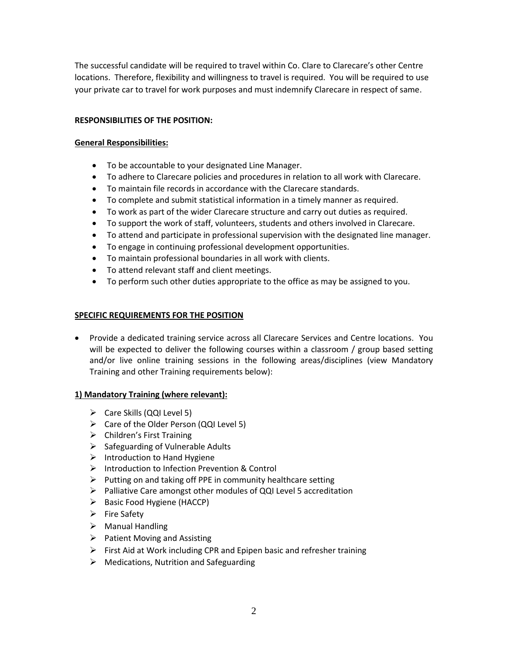The successful candidate will be required to travel within Co. Clare to Clarecare's other Centre locations. Therefore, flexibility and willingness to travel is required. You will be required to use your private car to travel for work purposes and must indemnify Clarecare in respect of same.

## **RESPONSIBILITIES OF THE POSITION:**

#### **General Responsibilities:**

- To be accountable to your designated Line Manager.
- To adhere to Clarecare policies and procedures in relation to all work with Clarecare.
- To maintain file records in accordance with the Clarecare standards.
- To complete and submit statistical information in a timely manner as required.
- To work as part of the wider Clarecare structure and carry out duties as required.
- To support the work of staff, volunteers, students and others involved in Clarecare.
- To attend and participate in professional supervision with the designated line manager.
- To engage in continuing professional development opportunities.
- To maintain professional boundaries in all work with clients.
- To attend relevant staff and client meetings.
- To perform such other duties appropriate to the office as may be assigned to you.

#### **SPECIFIC REQUIREMENTS FOR THE POSITION**

• Provide a dedicated training service across all Clarecare Services and Centre locations. You will be expected to deliver the following courses within a classroom / group based setting and/or live online training sessions in the following areas/disciplines (view Mandatory Training and other Training requirements below):

#### **1) Mandatory Training (where relevant):**

- $\triangleright$  Care Skills (QQI Level 5)
- ➢ Care of the Older Person (QQI Level 5)
- $\triangleright$  Children's First Training
- ➢ Safeguarding of Vulnerable Adults
- $\triangleright$  Introduction to Hand Hygiene
- ➢ Introduction to Infection Prevention & Control
- $\triangleright$  Putting on and taking off PPE in community healthcare setting
- ➢ Palliative Care amongst other modules of QQI Level 5 accreditation
- ➢ Basic Food Hygiene (HACCP)
- ➢ Fire Safety
- ➢ Manual Handling
- ➢ Patient Moving and Assisting
- $\triangleright$  First Aid at Work including CPR and Epipen basic and refresher training
- $\triangleright$  Medications, Nutrition and Safeguarding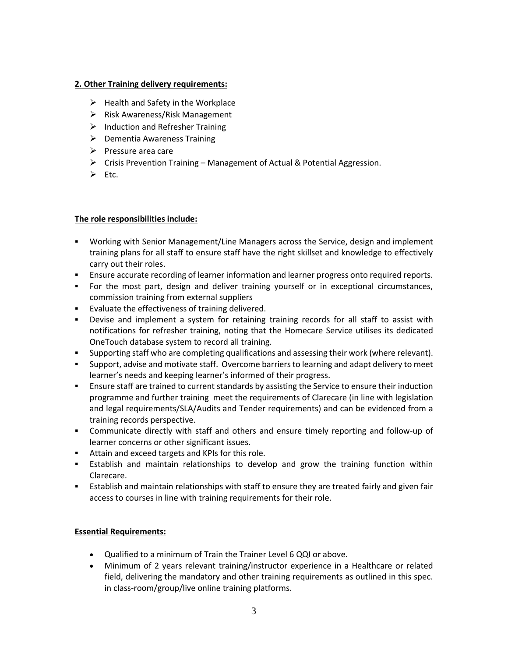#### **2. Other Training delivery requirements:**

- $\triangleright$  Health and Safety in the Workplace
- ➢ Risk Awareness/Risk Management
- $\triangleright$  Induction and Refresher Training
- $\triangleright$  Dementia Awareness Training
- ➢ Pressure area care
- ➢ Crisis Prevention Training Management of Actual & Potential Aggression.
- ➢ Etc.

#### **The role responsibilities include:**

- Working with Senior Management/Line Managers across the Service, design and implement training plans for all staff to ensure staff have the right skillset and knowledge to effectively carry out their roles.
- **E** Ensure accurate recording of learner information and learner progress onto required reports.
- For the most part, design and deliver training yourself or in exceptional circumstances, commission training from external suppliers
- Evaluate the effectiveness of training delivered.
- Devise and implement a system for retaining training records for all staff to assist with notifications for refresher training, noting that the Homecare Service utilises its dedicated OneTouch database system to record all training.
- Supporting staff who are completing qualifications and assessing their work (where relevant).
- Support, advise and motivate staff. Overcome barriers to learning and adapt delivery to meet learner's needs and keeping learner's informed of their progress.
- **E** Ensure staff are trained to current standards by assisting the Service to ensure their induction programme and further training meet the requirements of Clarecare (in line with legislation and legal requirements/SLA/Audits and Tender requirements) and can be evidenced from a training records perspective.
- Communicate directly with staff and others and ensure timely reporting and follow-up of learner concerns or other significant issues.
- Attain and exceed targets and KPIs for this role.
- **E** Establish and maintain relationships to develop and grow the training function within Clarecare.
- **E** Establish and maintain relationships with staff to ensure they are treated fairly and given fair access to courses in line with training requirements for their role.

#### **Essential Requirements:**

- Qualified to a minimum of Train the Trainer Level 6 QQI or above.
- Minimum of 2 years relevant training/instructor experience in a Healthcare or related field, delivering the mandatory and other training requirements as outlined in this spec. in class-room/group/live online training platforms.